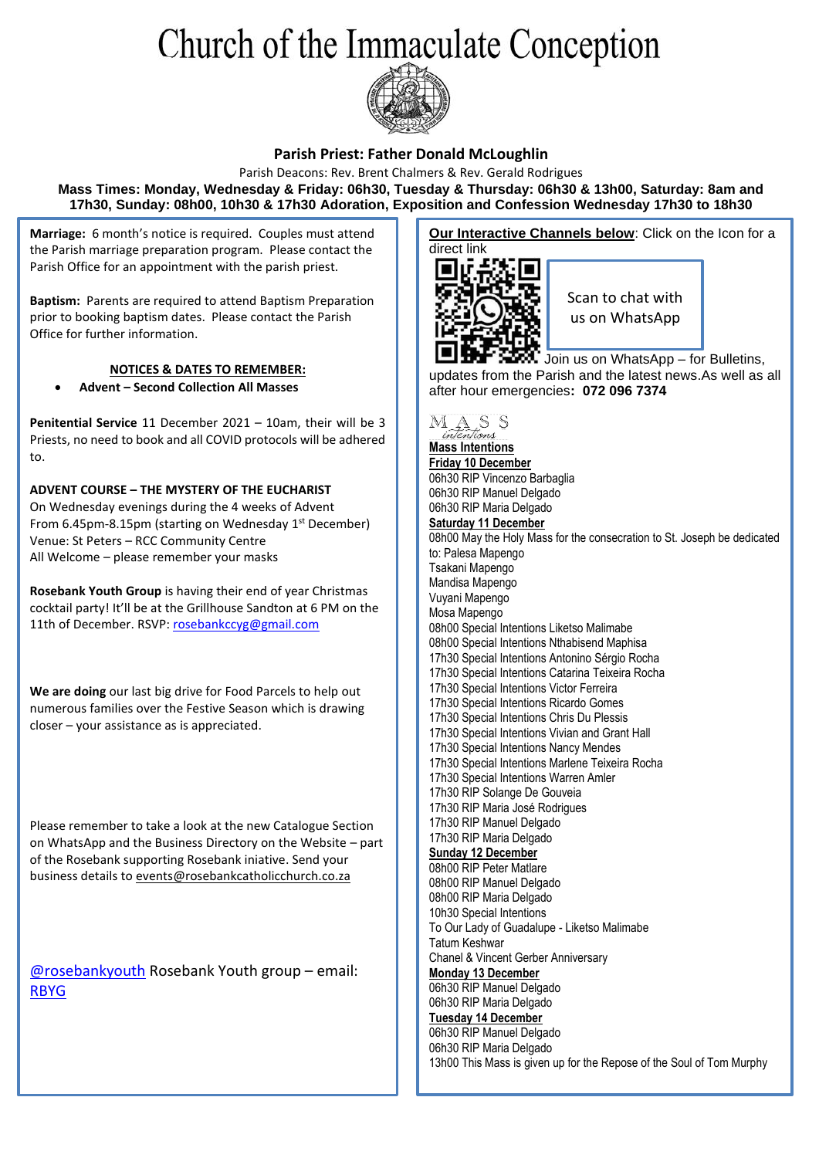## Church of the Immaculate Conception



#### **Parish Priest: Father Donald McLoughlin**

Parish Deacons: Rev. Brent Chalmers & Rev. Gerald Rodrigues **Mass Times: Monday, Wednesday & Friday: 06h30, Tuesday & Thursday: 06h30 & 13h00, Saturday: 8am and 17h30, Sunday: 08h00, 10h30 & 17h30 Adoration, Exposition and Confession Wednesday 17h30 to 18h30**

**Marriage:** 6 month's notice is required. Couples must attend the Parish marriage preparation program. Please contact the Parish Office for an appointment with the parish priest.

**Baptism:** Parents are required to attend Baptism Preparation prior to booking baptism dates. Please contact the Parish Office for further information.

#### **NOTICES & DATES TO REMEMBER:**

• **Advent – Second Collection All Masses**

**Penitential Service** 11 December 2021 – 10am, their will be 3 Priests, no need to book and all COVID protocols will be adhered to.

**ADVENT COURSE – THE MYSTERY OF THE EUCHARIST** On Wednesday evenings during the 4 weeks of Advent From 6.45pm-8.15pm (starting on Wednesday 1st December) Venue: St Peters – RCC Community Centre All Welcome – please remember your masks

**Rosebank Youth Group** is having their end of year Christmas cocktail party! It'll be at the Grillhouse Sandton at 6 PM on the 11th of December. RSVP: [rosebankccyg@gmail.com](mailto:rosebankccyg@gmail.com)

**We are doing** our last big drive for Food Parcels to help out numerous families over the Festive Season which is drawing closer – your assistance as is appreciated.

Please remember to take a look at the new Catalogue Section on WhatsApp and the Business Directory on the Website – part of the Rosebank supporting Rosebank iniative. Send your business details t[o events@rosebankcatholicchurch.co.za](mailto:events@rosebankcatholicchurch.co.za)

[@rosebankyouth](https://www.instagram.com/rosebankyouth/) Rosebank Youth group – email: [RBYG](mailto:rosebankccyg@gmail.com)

**Our Interactive Channels below:** Click on the Icon for a direct link



Scan to chat with us on WhatsApp

Join us on WhatsApp – for Bulletins, updates from the Parish and the latest news.As well as all after hour emergencies**: 072 096 7374**



**Friday 10 December** 06h30 RIP Vincenzo Barbaglia 06h30 RIP Manuel Delgado 06h30 RIP Maria Delgado **Saturday 11 December** 08h00 May the Holy Mass for the consecration to St. Joseph be dedicated to: Palesa Mapengo Tsakani Mapengo Mandisa Mapengo Vuyani Mapengo Mosa Mapengo 08h00 Special Intentions Liketso Malimabe 08h00 Special Intentions Nthabisend Maphisa 17h30 Special Intentions Antonino Sérgio Rocha 17h30 Special Intentions Catarina Teixeira Rocha 17h30 Special Intentions Victor Ferreira 17h30 Special Intentions Ricardo Gomes 17h30 Special Intentions Chris Du Plessis 17h30 Special Intentions Vivian and Grant Hall 17h30 Special Intentions Nancy Mendes 17h30 Special Intentions Marlene Teixeira Rocha 17h30 Special Intentions Warren Amler 17h30 RIP Solange De Gouveia 17h30 RIP Maria José Rodrigues 17h30 RIP Manuel Delgado 17h30 RIP Maria Delgado **Sunday 12 December** 08h00 RIP Peter Matlare 08h00 RIP Manuel Delgado 08h00 RIP Maria Delgado 10h30 Special Intentions To Our Lady of Guadalupe - Liketso Malimabe Tatum Keshwar Chanel & Vincent Gerber Anniversary **Monday 13 December** 06h30 RIP Manuel Delgado 06h30 RIP Maria Delgado **Tuesday 14 December** 06h30 RIP Manuel Delgado 06h30 RIP Maria Delgado 13h00 This Mass is given up for the Repose of the Soul of Tom Murphy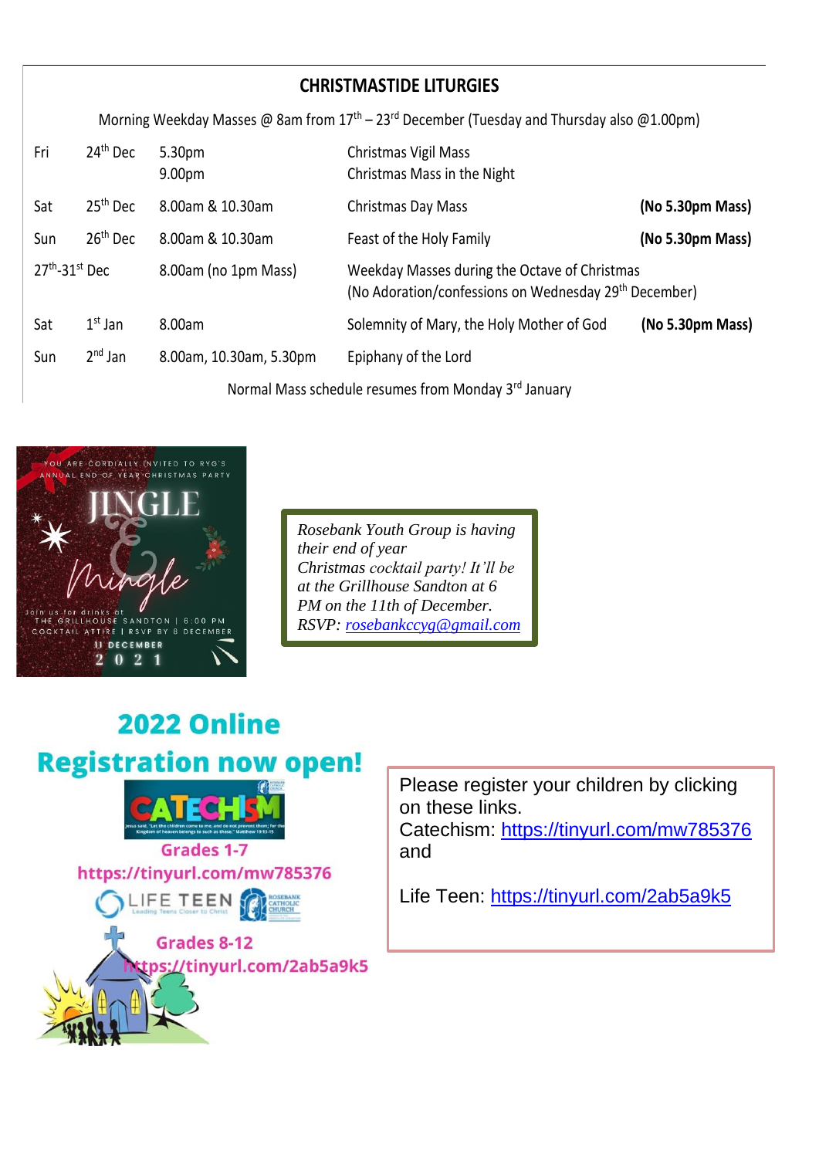| <b>CHRISTMASTIDE LITURGIES</b>                                                               |                      |                         |                                                                                                                    |                  |
|----------------------------------------------------------------------------------------------|----------------------|-------------------------|--------------------------------------------------------------------------------------------------------------------|------------------|
| Morning Weekday Masses @ 8am from $17th - 23rd$ December (Tuesday and Thursday also @1.00pm) |                      |                         |                                                                                                                    |                  |
| Fri                                                                                          | 24 <sup>th</sup> Dec | 5.30pm<br>9.00pm        | Christmas Vigil Mass<br>Christmas Mass in the Night                                                                |                  |
| Sat                                                                                          | 25 <sup>th</sup> Dec | 8.00am & 10.30am        | Christmas Day Mass                                                                                                 | (No 5.30pm Mass) |
| Sun                                                                                          | 26 <sup>th</sup> Dec | 8.00am & 10.30am        | Feast of the Holy Family                                                                                           | (No 5.30pm Mass) |
| $27th - 31st$ Dec                                                                            |                      | 8.00am (no 1pm Mass)    | Weekday Masses during the Octave of Christmas<br>(No Adoration/confessions on Wednesday 29 <sup>th</sup> December) |                  |
| Sat                                                                                          | $1st$ Jan            | 8.00am                  | Solemnity of Mary, the Holy Mother of God                                                                          | (No 5.30pm Mass) |
| Sun                                                                                          | $2^{nd}$ Jan         | 8.00am, 10.30am, 5.30pm | Epiphany of the Lord                                                                                               |                  |
| Normal Mass schedule resumes from Monday 3rd January                                         |                      |                         |                                                                                                                    |                  |



*Rosebank Youth Group is having their end of year Christmas cocktail party! It'll be at the Grillhouse Sandton at 6 PM on the 11th of December. RSVP: [rosebankccyg@gmail.com](mailto:rosebankccyg@gmail.com)*

# 2022 Online **Registration now open!**

' Cí **Grades 1-7** https://tinyurl.com/mw785376 .IFE TEEN **THOLIC**<br>URCH Grades 8-12



Please register your children by clicking on these links. Catechism:<https://tinyurl.com/mw785376> and

Life Teen:<https://tinyurl.com/2ab5a9k5>